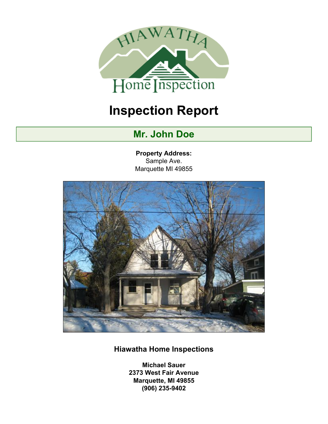

# **Inspection Report**

## **Mr. John Doe**

**Property Address:** Sample Ave. Marquette MI 49855



## **Hiawatha Home Inspections**

**Michael Sauer 2373 West Fair Avenue Marquette, MI 49855 (906) 235-9402**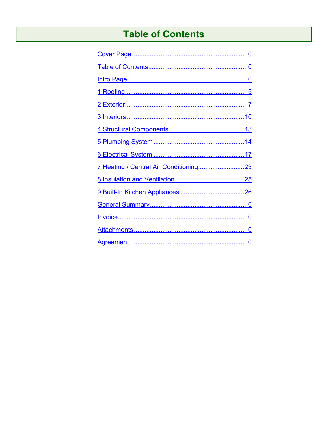## **Table of Contents**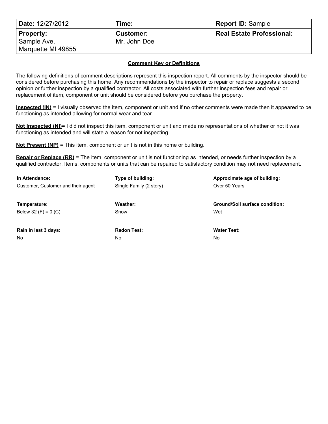| <b>Date: 12/27/2012</b>  | Time:                            | <b>Report ID: Sample</b>         |
|--------------------------|----------------------------------|----------------------------------|
| Property:<br>Sample Ave. | <b>Customer:</b><br>Mr. John Doe | <b>Real Estate Professional:</b> |
| Marquette MI 49855       |                                  |                                  |

#### **Comment Key or Definitions**

The following definitions of comment descriptions represent this inspection report. All comments by the inspector should be considered before purchasing this home. Any recommendations by the inspector to repair or replace suggests a second opinion or further inspection by a qualified contractor. All costs associated with further inspection fees and repair or replacement of item, component or unit should be considered before you purchase the property.

**Inspected (IN)** = I visually observed the item, component or unit and if no other comments were made then it appeared to be functioning as intended allowing for normal wear and tear.

**Not Inspected (NI)**= I did not inspect this item, component or unit and made no representations of whether or not it was functioning as intended and will state a reason for not inspecting.

**Not Present (NP)** = This item, component or unit is not in this home or building.

**Repair or Replace (RR)** = The item, component or unit is not functioning as intended, or needs further inspection by a qualified contractor. Items, components or units that can be repaired to satisfactory condition may not need replacement.

| In Attendance:                     | Type of building:       | Approximate age of building:          |  |  |  |  |  |  |
|------------------------------------|-------------------------|---------------------------------------|--|--|--|--|--|--|
| Customer, Customer and their agent | Single Family (2 story) | Over 50 Years                         |  |  |  |  |  |  |
| Temperature:                       | Weather:                | <b>Ground/Soil surface condition:</b> |  |  |  |  |  |  |
| Below 32 (F) = $0$ (C)             | Snow                    | Wet                                   |  |  |  |  |  |  |
| Rain in last 3 days:               | <b>Radon Test:</b>      | <b>Water Test:</b>                    |  |  |  |  |  |  |
| N <sub>o</sub>                     | No                      | No                                    |  |  |  |  |  |  |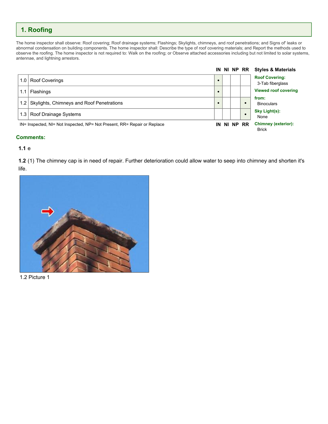### <span id="page-4-0"></span>**1. Roofing**

The home inspector shall observe: Roof covering; Roof drainage systems; Flashings; Skylights, chimneys, and roof penetrations; and Signs of' leaks or abnormal condensation on building components. The home inspector shall: Describe the type of roof covering materials; and Report the methods used to observe the roofing. The home inspector is not required to: Walk on the roofing; or Observe attached accessories including but not limited to solar systems, antennae, and lightning arrestors.

|     |                                                                          |    |          | IN NI NP RR | <b>Styles &amp; Materials</b>              |
|-----|--------------------------------------------------------------------------|----|----------|-------------|--------------------------------------------|
| 1.0 | <b>Roof Coverings</b>                                                    |    |          |             | <b>Roof Covering:</b><br>3-Tab fiberglass  |
| 1.1 | <b>Flashings</b>                                                         |    |          |             | <b>Viewed roof covering</b>                |
| 1.2 | Skylights, Chimneys and Roof Penetrations                                |    |          |             | from:<br><b>Binoculars</b>                 |
|     | 1.3   Roof Drainage Systems                                              |    |          |             | Sky Light(s):<br>None                      |
|     | IN= Inspected, NI= Not Inspected, NP= Not Present, RR= Repair or Replace | IN | NI NP RR |             | <b>Chimney (exterior):</b><br><b>Brick</b> |

#### **Comments:**

#### **1.1** e

**1.2** (1) The chimney cap is in need of repair. Further deterioration could allow water to seep into chimney and shorten it's life.



1.2 Picture 1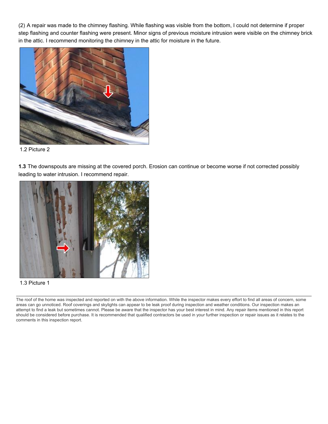(2) A repair was made to the chimney flashing. While flashing was visible from the bottom, I could not determine if proper step flashing and counter flashing were present. Minor signs of previous moisture intrusion were visible on the chimney brick in the attic. I recommend monitoring the chimney in the attic for moisture in the future.



1.2 Picture 2

**1.3** The downspouts are missing at the covered porch. Erosion can continue or become worse if not corrected possibly leading to water intrusion. I recommend repair.



1.3 Picture 1

The roof of the home was inspected and reported on with the above information. While the inspector makes every effort to find all areas of concern, some areas can go unnoticed. Roof coverings and skylights can appear to be leak proof during inspection and weather conditions. Our inspection makes an attempt to find a leak but sometimes cannot. Please be aware that the inspector has your best interest in mind. Any repair items mentioned in this report should be considered before purchase. It is recommended that qualified contractors be used in your further inspection or repair issues as it relates to the comments in this inspection report.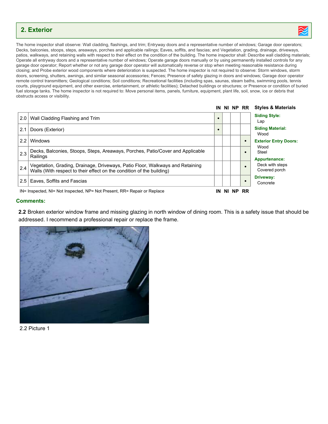### <span id="page-6-0"></span>**2. Exterior**



The home inspector shall observe: Wall cladding, flashings, and trim; Entryway doors and a representative number of windows; Garage door operators; Decks, balconies, stoops, steps, areaways, porches and applicable railings; Eaves, soffits, and fascias; and Vegetation, grading, drainage, driveways, patios, walkways, and retaining walls with respect to their effect on the condition of the building. The home inspector shall: Describe wall cladding materials; Operate all entryway doors and a representative number of windows; Operate garage doors manually or by using permanently installed controls for any garage door operator; Report whether or not any garage door operator will automatically reverse or stop when meeting reasonable resistance during closing; and Probe exterior wood components where deterioration is suspected. The home inspector is not required to observe: Storm windows, storm doors, screening, shutters, awnings, and similar seasonal accessories; Fences; Presence of safety glazing in doors and windows; Garage door operator remote control transmitters; Geological conditions; Soil conditions; Recreational facilities (including spas, saunas, steam baths, swimming pools, tennis courts, playground equipment, and other exercise, entertainment, or athletic facilities); Detached buildings or structures; or Presence or condition of buried fuel storage tanks. The home inspector is not required to: Move personal items, panels, furniture, equipment, plant life, soil, snow, ice or debris that obstructs access or visibility.

|     |                                                                                                                                                        |            |          |           | IN NI NP RR Styles & Materials        |
|-----|--------------------------------------------------------------------------------------------------------------------------------------------------------|------------|----------|-----------|---------------------------------------|
| 2.0 | Wall Cladding Flashing and Trim                                                                                                                        | $\bullet$  |          |           | <b>Siding Style:</b><br>Lap           |
| 2.1 | Doors (Exterior)                                                                                                                                       | $\epsilon$ |          |           | <b>Siding Material:</b><br>Wood       |
| 22  | Windows                                                                                                                                                |            |          | $\bullet$ | <b>Exterior Entry Doors:</b>          |
| 2.3 | Decks, Balconies, Stoops, Steps, Areaways, Porches, Patio/Cover and Applicable<br>Railings                                                             |            |          | $\bullet$ | Wood<br>Steel<br><b>Appurtenance:</b> |
| 2.4 | Vegetation, Grading, Drainage, Driveways, Patio Floor, Walkways and Retaining<br>Walls (With respect to their effect on the condition of the building) |            |          |           | Deck with steps<br>Covered porch      |
| 2.5 | Eaves, Soffits and Fascias                                                                                                                             |            |          | $\bullet$ | Driveway:<br>Concrete                 |
|     | IN= Inspected, NI= Not Inspected, NP= Not Present, RR= Repair or Replace                                                                               | IN         | NI NP RR |           |                                       |

#### **Comments:**

**2.2** Broken exterior window frame and missing glazing in north window of dining room. This is a safety issue that should be addressed. I recommend a professional repair or replace the frame.



2.2 Picture 1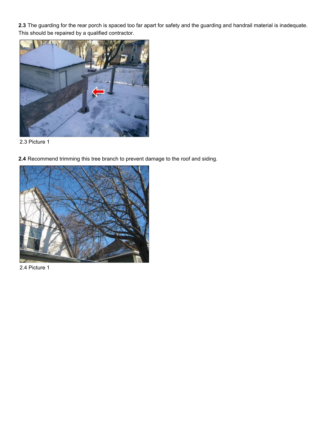**2.3** The guarding for the rear porch is spaced too far apart for safety and the guarding and handrail material is inadequate. This should be repaired by a qualified contractor.



2.3 Picture 1

**2.4** Recommend trimming this tree branch to prevent damage to the roof and siding.



2.4 Picture 1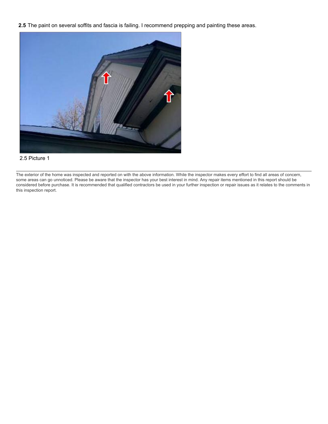**2.5** The paint on several soffits and fascia is failing. I recommend prepping and painting these areas.



#### 2.5 Picture 1

The exterior of the home was inspected and reported on with the above information. While the inspector makes every effort to find all areas of concern, some areas can go unnoticed. Please be aware that the inspector has your best interest in mind. Any repair items mentioned in this report should be considered before purchase. It is recommended that qualified contractors be used in your further inspection or repair issues as it relates to the comments in this inspection report.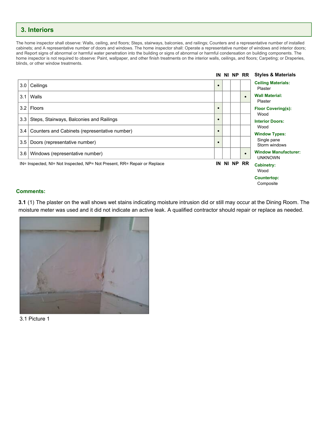### <span id="page-9-0"></span>**3. Interiors**

The home inspector shall observe: Walls, ceiling, and floors; Steps, stairways, balconies, and railings; Counters and a representative number of installed cabinets; and A representative number of doors and windows. The home inspector shall: Operate a representative number of windows and interior doors; and Report signs of abnormal or harmful water penetration into the building or signs of abnormal or harmful condensation on building components. The home inspector is not required to observe: Paint, wallpaper, and other finish treatments on the interior walls, ceilings, and floors; Carpeting; or Draperies, blinds, or other window treatments.



#### **Comments:**

**3.1** (1) The plaster on the wall shows wet stains indicating moisture intrusion did or still may occur at the Dining Room. The moisture meter was used and it did not indicate an active leak. A qualified contractor should repair or replace as needed.



3.1 Picture 1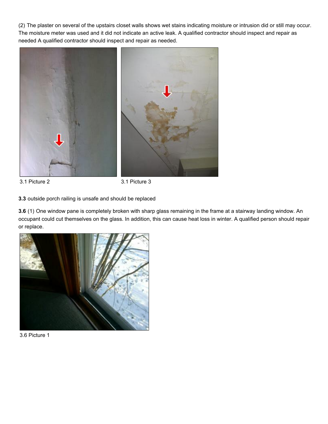(2) The plaster on several of the upstairs closet walls shows wet stains indicating moisture or intrusion did or still may occur. The moisture meter was used and it did not indicate an active leak. A qualified contractor should inspect and repair as needed A qualified contractor should inspect and repair as needed.



3.1 Picture 2 3.1 Picture 3

**3.3** outside porch railing is unsafe and should be replaced

**3.6** (1) One window pane is completely broken with sharp glass remaining in the frame at a stairway landing window. An occupant could cut themselves on the glass. In addition, this can cause heat loss in winter. A qualified person should repair or replace.



3.6 Picture 1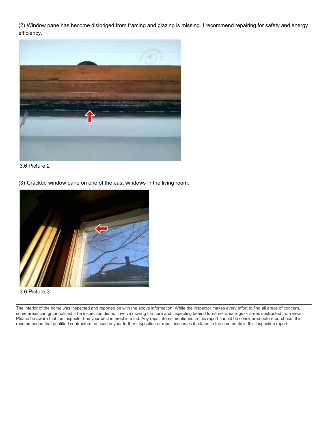(2) Window pane has become dislodged from framing and glazing is missing. I recommend repairing for safety and energy efficiency.



3.6 Picture 2

(3) Cracked window pane on one of the east windows in the living room.



3.6 Picture 3

The interior of the home was inspected and reported on with the above information. While the inspector makes every effort to find all areas of concern, some areas can go unnoticed. The inspection did not involve moving furniture and inspecting behind furniture, area rugs or areas obstructed from view. Please be aware that the inspector has your best interest in mind. Any repair items mentioned in this report should be considered before purchase. It is recommended that qualified contractors be used in your further inspection or repair issues as it relates to the comments in this inspection report.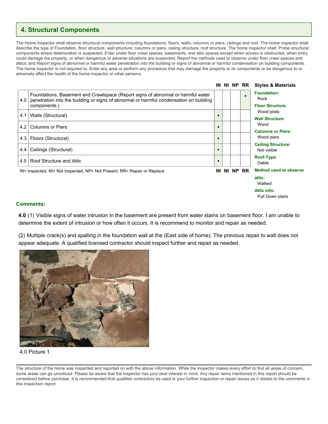### <span id="page-12-0"></span>**4. Structural Components**

The Home Inspector shall observe structural components including foundations, floors, walls, columns or piers, ceilings and roof. The home inspector shall describe the type of Foundation, floor structure, wall structure, columns or piers, ceiling structure, roof structure. The home inspector shall: Probe structural components where deterioration is suspected; Enter under floor crawl spaces, basements, and attic spaces except when access is obstructed, when entry could damage the property, or when dangerous or adverse situations are suspected; Report the methods used to observe under floor crawl spaces and attics; and Report signs of abnormal or harmful water penetration into the building or signs of abnormal or harmful condensation on building components. The home inspector is not required to: Enter any area or perform any procedure that may damage the property or its components or be dangerous to or adversely effect the health of the home inspector or other persons.



#### **Comments:**

**4.0** (1) Visible signs of water intrusion in the basement are present from water stains on basement floor. I am unable to determine the extent of intrusion or how often it occurs. It is recommend to monitor and repair as needed.

(2) Multiple crack(s) and spalling in the foundation wall at the (East side of home). The previous repair to wall does not appear adequate. A qualified licensed contractor should inspect further and repair as needed.



#### 4.0 Picture 1

The structure of the home was inspected and reported on with the above information. While the inspector makes every effort to find all areas of concern, some areas can go unnoticed. Please be aware that the inspector has your best interest in mind. Any repair items mentioned in this report should be considered before purchase. It is recommended that qualified contractors be used in your further inspection or repair issues as it relates to the comments in this inspection report.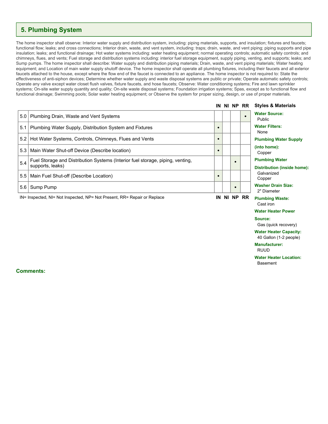### <span id="page-13-0"></span>**5. Plumbing System**

The home inspector shall observe: Interior water supply and distribution system, including: piping materials, supports, and insulation; fixtures and faucets; functional flow; leaks; and cross connections; Interior drain, waste, and vent system, including: traps; drain, waste, and vent piping; piping supports and pipe insulation; leaks; and functional drainage; Hot water systems including: water heating equipment; normal operating controls; automatic safety controls; and chimneys, flues, and vents; Fuel storage and distribution systems including: interior fuel storage equipment, supply piping, venting, and supports; leaks; and Sump pumps. The home inspector shall describe: Water supply and distribution piping materials; Drain, waste, and vent piping materials; Water heating equipment; and Location of main water supply shutoff device. The home inspector shall operate all plumbing fixtures, including their faucets and all exterior faucets attached to the house, except where the flow end of the faucet is connected to an appliance. The home inspector is not required to: State the effectiveness of anti-siphon devices; Determine whether water supply and waste disposal systems are public or private; Operate automatic safety controls; Operate any valve except water closet flush valves, fixture faucets, and hose faucets; Observe: Water conditioning systems; Fire and lawn sprinkler systems; On-site water supply quantity and quality; On-site waste disposal systems; Foundation irrigation systems; Spas, except as to functional flow and functional drainage; Swimming pools; Solar water heating equipment; or Observe the system for proper sizing, design, or use of proper materials.

|     |                                                                                                    |           |  | IN NI NP RR | <b>Styles &amp; Materials</b>                               |
|-----|----------------------------------------------------------------------------------------------------|-----------|--|-------------|-------------------------------------------------------------|
| 5.0 | Plumbing Drain, Waste and Vent Systems                                                             |           |  | $\bullet$   | <b>Water Source:</b><br><b>Public</b>                       |
| 5.1 | Plumbing Water Supply, Distribution System and Fixtures                                            | $\bullet$ |  |             | <b>Water Filters:</b><br>None                               |
| 5.2 | Hot Water Systems, Controls, Chimneys, Flues and Vents                                             | $\bullet$ |  |             | <b>Plumbing Water Supply</b>                                |
|     | 5.3   Main Water Shut-off Device (Describe location)                                               | $\bullet$ |  |             | (into home):<br>Copper                                      |
| 5.4 | Fuel Storage and Distribution Systems (Interior fuel storage, piping, venting,<br>supports, leaks) |           |  |             | <b>Plumbing Water</b><br><b>Distribution (inside home):</b> |
| 5.5 | Main Fuel Shut-off (Describe Location)                                                             | $\bullet$ |  |             | Galvanized<br>Copper                                        |
| 5.6 | Sump Pump                                                                                          |           |  |             | <b>Washer Drain Size:</b><br>2" Diameter                    |
|     | IN= Inspected, NI= Not Inspected, NP= Not Present, RR= Repair or Replace                           | IN        |  | NI NP RR    | <b>Plumbing Waste:</b>                                      |

Cast iron **Water Heater Power**

#### **Source:**

Gas (quick recovery)

**Water Heater Capacity:** 40 Gallon (1-2 people)

#### **Manufacturer:** RUUD

**Water Heater Location:** Basement

**Comments:**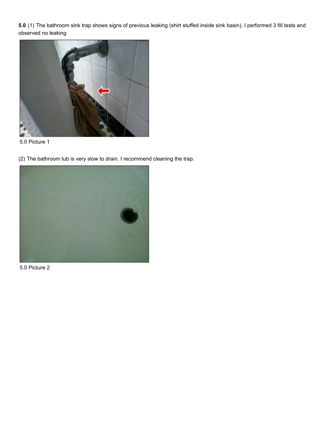**5.0** (1) The bathroom sink trap shows signs of previous leaking (shirt stuffed inside sink basin). I performed 3 fill tests and observed no leaking





(2) The bathroom tub is very slow to drain. I recommend cleaning the trap.



5.0 Picture 2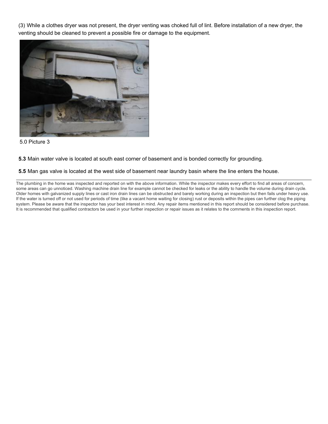(3) While a clothes dryer was not present, the dryer venting was choked full of lint. Before installation of a new dryer, the venting should be cleaned to prevent a possible fire or damage to the equipment.



5.0 Picture 3

#### **5.3** Main water valve is located at south east corner of basement and is bonded correctly for grounding.

#### **5.5** Man gas valve is located at the west side of basement near laundry basin where the line enters the house.

The plumbing in the home was inspected and reported on with the above information. While the inspector makes every effort to find all areas of concern, some areas can go unnoticed. Washing machine drain line for example cannot be checked for leaks or the ability to handle the volume during drain cycle. Older homes with galvanized supply lines or cast iron drain lines can be obstructed and barely working during an inspection but then fails under heavy use. If the water is turned off or not used for periods of time (like a vacant home waiting for closing) rust or deposits within the pipes can further clog the piping system. Please be aware that the inspector has your best interest in mind. Any repair items mentioned in this report should be considered before purchase. It is recommended that qualified contractors be used in your further inspection or repair issues as it relates to the comments in this inspection report.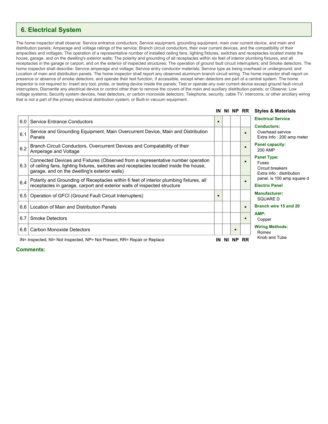### <span id="page-16-0"></span>**6. Electrical System**

The home inspector shall observe: Service entrance conductors; Service equipment, grounding equipment, main over current device, and main and distribution panels; Amperage and voltage ratings of the service; Branch circuit conductors, their over current devices, and the compatibility of their ampacities and voltages; The operation of a representative number of installed ceiling fans, lighting fixtures, switches and receptacles located inside the house, garage, and on the dwelling's exterior walls; The polarity and grounding of all receptacles within six feet of interior plumbing fixtures, and all receptacles in the garage or carport, and on the exterior of inspected structures; The operation of ground fault circuit interrupters; and Smoke detectors. The home inspector shall describe: Service amperage and voltage; Service entry conductor materials; Service type as being overhead or underground; and Location of main and distribution panels. The home inspector shall report any observed aluminum branch circuit wiring. The home inspector shall report on presence or absence of smoke detectors, and operate their test function, if accessible, except when detectors are part of a central system. The home inspector is not required to: Insert any tool, probe, or testing device inside the panels; Test or operate any over current device except ground fault circuit interrupters; Dismantle any electrical device or control other than to remove the covers of the main and auxiliary distribution panels; or Observe: Low voltage systems; Security system devices, heat detectors, or carbon monoxide detectors; Telephone, security, cable TV, intercoms, or other ancillary wiring that is not a part of the primary electrical distribution system; or Built-in vacuum equipment.

|     |                                                                                                                                                                                                                            |           |  | IN NI NP RR | <b>Styles &amp; Materials</b>                                               |
|-----|----------------------------------------------------------------------------------------------------------------------------------------------------------------------------------------------------------------------------|-----------|--|-------------|-----------------------------------------------------------------------------|
| 6.0 | <b>Service Entrance Conductors</b>                                                                                                                                                                                         | $\bullet$ |  |             | <b>Electrical Service</b>                                                   |
| 6.1 | Service and Grounding Equipment, Main Overcurrent Device, Main and Distribution<br>Panels                                                                                                                                  |           |  | $\bullet$   | <b>Conductors:</b><br>Overhead service<br>Extra Info: 200 amp meter         |
| 6.2 | Branch Circuit Conductors, Overcurrent Devices and Compatability of their<br>Amperage and Voltage                                                                                                                          |           |  | $\bullet$   | Panel capacity:<br>200 AMP                                                  |
| 6.3 | Connected Devices and Fixtures (Observed from a representative number operation<br>of ceiling fans, lighting fixtures, switches and receptacles located inside the house,<br>garage, and on the dwelling's exterior walls) |           |  | $\bullet$   | <b>Panel Type:</b><br>Fuses<br>Circuit breakers<br>Extra Info: distribution |
| 6.4 | Polarity and Grounding of Receptacles within 6 feet of interior plumbing fixtures, all<br>receptacles in garage, carport and exterior walls of inspected structure                                                         |           |  |             | panel. is 100 amp square d<br><b>Electric Panel</b>                         |
| 6.5 | Operation of GFCI (Ground Fault Circuit Interrupters)                                                                                                                                                                      |           |  |             | <b>Manufacturer:</b><br>SQUARE D                                            |
| 6.6 | Location of Main and Distribution Panels                                                                                                                                                                                   |           |  | $\bullet$   | Branch wire 15 and 20                                                       |
| 6.7 | <b>Smoke Detectors</b>                                                                                                                                                                                                     |           |  | $\bullet$   | AMP:<br>Copper                                                              |
| 6.8 | <b>Carbon Monoxide Detectors</b>                                                                                                                                                                                           |           |  |             | <b>Wiring Methods:</b><br>Romex                                             |
|     | IN= Inspected, NI= Not Inspected, NP= Not Present, RR= Repair or Replace                                                                                                                                                   | IN        |  | NI NP RR    | Knob and Tube                                                               |

#### **Comments:**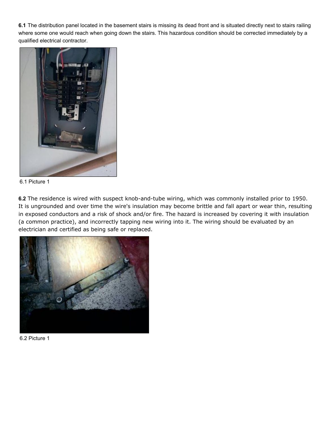**6.1** The distribution panel located in the basement stairs is missing its dead front and is situated directly next to stairs railing where some one would reach when going down the stairs. This hazardous condition should be corrected immediately by a qualified electrical contractor.



6.1 Picture 1

**6.2** The residence is wired with suspect knob-and-tube wiring, which was commonly installed prior to 1950. It is ungrounded and over time the wire's insulation may become brittle and fall apart or wear thin, resulting in exposed conductors and a risk of shock and/or fire. The hazard is increased by covering it with insulation (a common practice), and incorrectly tapping new wiring into it. The wiring should be evaluated by an electrician and certified as being safe or replaced.



6.2 Picture 1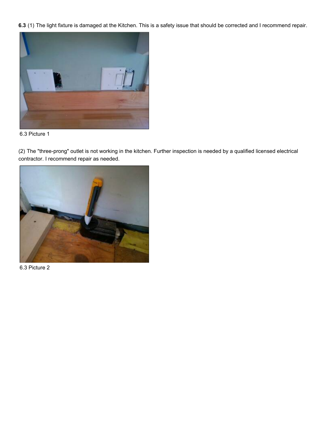**6.3** (1) The light fixture is damaged at the Kitchen. This is a safety issue that should be corrected and I recommend repair.



6.3 Picture 1

(2) The "three-prong" outlet is not working in the kitchen. Further inspection is needed by a qualified licensed electrical contractor. I recommend repair as needed.



6.3 Picture 2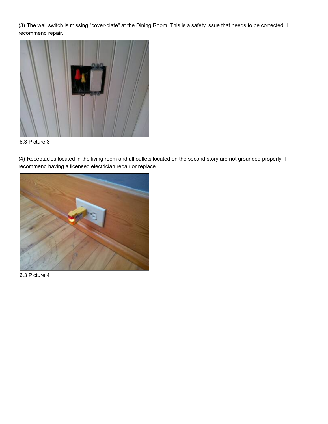(3) The wall switch is missing "cover-plate" at the Dining Room. This is a safety issue that needs to be corrected. I recommend repair.



6.3 Picture 3

(4) Receptacles located in the living room and all outlets located on the second story are not grounded properly. I recommend having a licensed electrician repair or replace.



6.3 Picture 4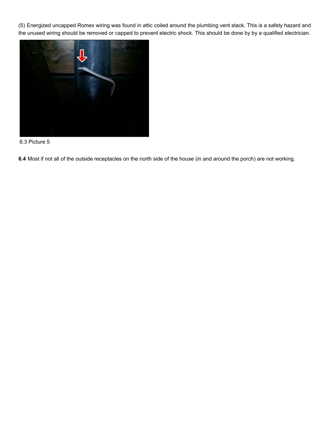(5) Energized uncapped Romex wiring was found in attic coiled around the plumbing vent stack. This is a safety hazard and the unused wiring should be removed or capped to prevent electric shock. This should be done by by a qualified electrician.



6.3 Picture 5

**6.4** Most if not all of the outside receptacles on the north side of the house (in and around the porch) are not working.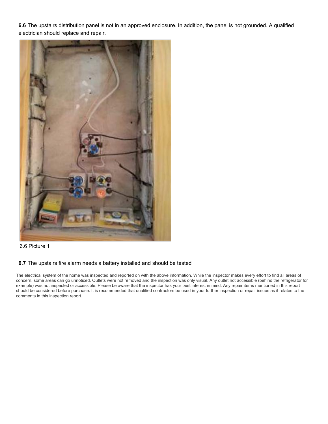**6.6** The upstairs distribution panel is not in an approved enclosure. In addition, the panel is not grounded. A qualified electrician should replace and repair.





#### **6.7** The upstairs fire alarm needs a battery installed and should be tested

The electrical system of the home was inspected and reported on with the above information. While the inspector makes every effort to find all areas of concern, some areas can go unnoticed. Outlets were not removed and the inspection was only visual. Any outlet not accessible (behind the refrigerator for example) was not inspected or accessible. Please be aware that the inspector has your best interest in mind. Any repair items mentioned in this report should be considered before purchase. It is recommended that qualified contractors be used in your further inspection or repair issues as it relates to the comments in this inspection report.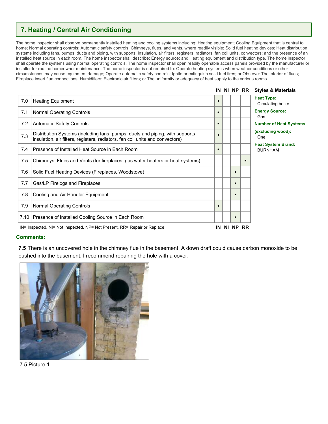### <span id="page-22-0"></span>**7. Heating / Central Air Conditioning**

The home inspector shall observe permanently installed heating and cooling systems including: Heating equipment; Cooling Equipment that is central to home; Normal operating controls; Automatic safety controls; Chimneys, flues, and vents, where readily visible; Solid fuel heating devices; Heat distribution systems including fans, pumps, ducts and piping, with supports, insulation, air filters, registers, radiators, fan coil units, convectors; and the presence of an installed heat source in each room. The home inspector shall describe: Energy source; and Heating equipment and distribution type. The home inspector shall operate the systems using normal operating controls. The home inspector shall open readily openable access panels provided by the manufacturer or installer for routine homeowner maintenance. The home inspector is not required to: Operate heating systems when weather conditions or other circumstances may cause equipment damage; Operate automatic safety controls; Ignite or extinguish solid fuel fires; or Observe: The interior of flues; Fireplace insert flue connections; Humidifiers; Electronic air filters; or The uniformity or adequacy of heat supply to the various rooms.

|     |                                                                                                                                                                |           |          | IN NI NP RR | <b>Styles &amp; Materials</b>               |
|-----|----------------------------------------------------------------------------------------------------------------------------------------------------------------|-----------|----------|-------------|---------------------------------------------|
| 7.0 | <b>Heating Equipment</b>                                                                                                                                       | $\bullet$ |          |             | <b>Heat Type:</b><br>Circulating boiler     |
| 7.1 | <b>Normal Operating Controls</b>                                                                                                                               | $\bullet$ |          |             | <b>Energy Source:</b><br>Gas                |
| 7.2 | <b>Automatic Safety Controls</b>                                                                                                                               | $\bullet$ |          |             | <b>Number of Heat Systems</b>               |
| 7.3 | Distribution Systems (including fans, pumps, ducts and piping, with supports,<br>insulation, air filters, registers, radiators, fan coil units and convectors) | $\bullet$ |          |             | (excluding wood):<br>One                    |
| 7.4 | Presence of Installed Heat Source in Each Room                                                                                                                 | $\bullet$ |          |             | <b>Heat System Brand:</b><br><b>BURNHAM</b> |
| 7.5 | Chimneys, Flues and Vents (for fireplaces, gas water heaters or heat systems)                                                                                  |           |          |             |                                             |
| 7.6 | Solid Fuel Heating Devices (Fireplaces, Woodstove)                                                                                                             |           |          |             |                                             |
| 7.7 | Gas/LP Firelogs and Fireplaces                                                                                                                                 |           |          |             |                                             |
| 7.8 | Cooling and Air Handler Equipment                                                                                                                              |           |          |             |                                             |
| 7.9 | <b>Normal Operating Controls</b>                                                                                                                               | $\bullet$ |          |             |                                             |
|     | 7.10   Presence of Installed Cooling Source in Each Room                                                                                                       |           |          |             |                                             |
|     | IN= Inspected, NI= Not Inspected, NP= Not Present, RR= Repair or Replace                                                                                       |           | IN NI NP | <b>RR</b>   |                                             |

#### **Comments:**

**7.5** There is an uncovered hole in the chimney flue in the basement. A down draft could cause carbon monoxide to be pushed into the basement. I recommend repairing the hole with a cover.



7.5 Picture 1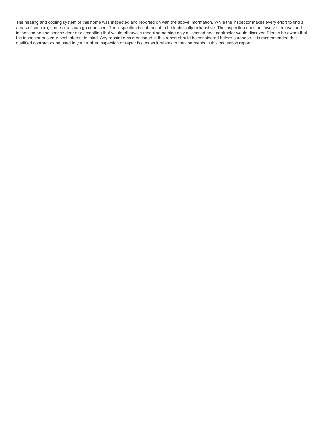The heating and cooling system of this home was inspected and reported on with the above information. While the inspector makes every effort to find all areas of concern, some areas can go unnoticed. The inspection is not meant to be technically exhaustive. The inspection does not involve removal and inspection behind service door or dismantling that would otherwise reveal something only a licensed heat contractor would discover. Please be aware that the inspector has your best interest in mind. Any repair items mentioned in this report should be considered before purchase. It is recommended that qualified contractors be used in your further inspection or repair issues as it relates to the comments in this inspection report.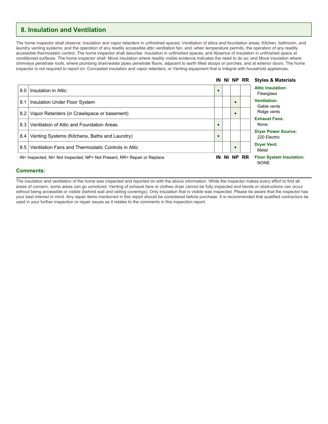### <span id="page-24-0"></span>**8. Insulation and Ventilation**

The home inspector shall observe: Insulation and vapor retarders in unfinished spaces; Ventilation of attics and foundation areas; Kitchen, bathroom, and laundry venting systems; and the operation of any readily accessible attic ventilation fan, and, when temperature permits, the operation of any readily accessible thermostatic control. The home inspector shall describe: Insulation in unfinished spaces; and Absence of insulation in unfinished space at conditioned surfaces. The home inspector shall: Move insulation where readily visible evidence indicates the need to do so; and Move insulation where chimneys penetrate roofs, where plumbing drain/waste pipes penetrate floors, adjacent to earth filled stoops or porches, and at exterior doors. The home inspector is not required to report on: Concealed insulation and vapor retarders; or Venting equipment that is integral with household appliances.



#### **Comments:**

The insulation and ventilation of the home was inspected and reported on with the above information. While the inspector makes every effort to find all areas of concern, some areas can go unnoticed. Venting of exhaust fans or clothes dryer cannot be fully inspected and bends or obstructions can occur without being accessible or visible (behind wall and ceiling coverings). Only insulation that is visible was inspected. Please be aware that the inspector has your best interest in mind. Any repair items mentioned in this report should be considered before purchase. It is recommended that qualified contractors be used in your further inspection or repair issues as it relates to the comments in this inspection report.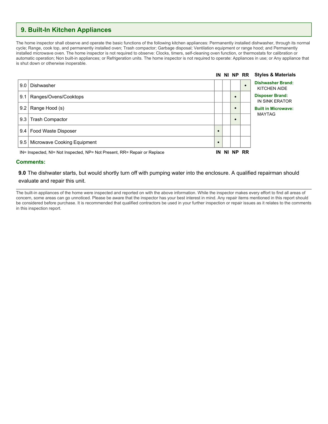### <span id="page-25-0"></span>**9. Built-In Kitchen Appliances**

The home inspector shall observe and operate the basic functions of the following kitchen appliances: Permanently installed dishwasher, through its normal cycle; Range, cook top, and permanently installed oven; Trash compactor; Garbage disposal; Ventilation equipment or range hood; and Permanently installed microwave oven. The home inspector is not required to observe: Clocks, timers, self-cleaning oven function, or thermostats for calibration or automatic operation; Non built-in appliances; or Refrigeration units. The home inspector is not required to operate: Appliances in use; or Any appliance that is shut down or otherwise inoperable.



#### **Comments:**

#### **9.0** The dishwater starts, but would shortly turn off with pumping water into the enclosure. A qualified repairman should evaluate and repair this unit.

The built-in appliances of the home were inspected and reported on with the above information. While the inspector makes every effort to find all areas of concern, some areas can go unnoticed. Please be aware that the inspector has your best interest in mind. Any repair items mentioned in this report should be considered before purchase. It is recommended that qualified contractors be used in your further inspection or repair issues as it relates to the comments in this inspection report.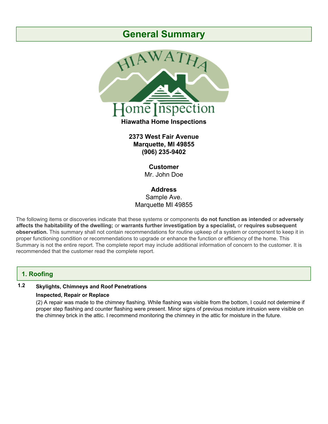## **General Summary**



**2373 West Fair Avenue Marquette, MI 49855 (906) 235-9402**

> **Customer** Mr. John Doe

**Address** Sample Ave. Marquette MI 49855

The following items or discoveries indicate that these systems or components **do not function as intended** or **adversely affects the habitability of the dwelling;** or **warrants further investigation by a specialist,** or **requires subsequent observation.** This summary shall not contain recommendations for routine upkeep of a system or component to keep it in proper functioning condition or recommendations to upgrade or enhance the function or efficiency of the home. This Summary is not the entire report. The complete report may include additional information of concern to the customer. It is recommended that the customer read the complete report.

### **1. Roofing**

### **1.2 Skylights, Chimneys and Roof Penetrations**

#### **Inspected, Repair or Replace**

(2) A repair was made to the chimney flashing. While flashing was visible from the bottom, I could not determine if proper step flashing and counter flashing were present. Minor signs of previous moisture intrusion were visible on the chimney brick in the attic. I recommend monitoring the chimney in the attic for moisture in the future.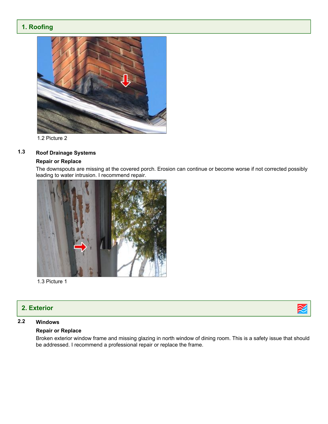### **1. Roofing**



1.2 Picture 2

### **1.3 Roof Drainage Systems**

#### **Repair or Replace**

The downspouts are missing at the covered porch. Erosion can continue or become worse if not corrected possibly leading to water intrusion. I recommend repair.



1.3 Picture 1

### **2. Exterior**

### **2.2 Windows**

#### **Repair or Replace**

Broken exterior window frame and missing glazing in north window of dining room. This is a safety issue that should be addressed. I recommend a professional repair or replace the frame.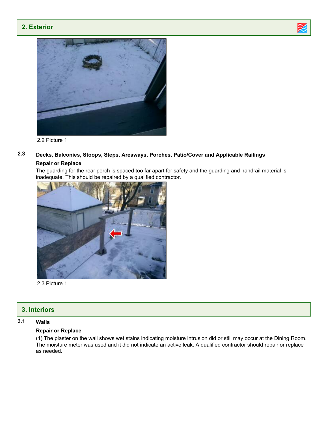### **2. Exterior**





2.2 Picture 1

### **2.3 Decks, Balconies, Stoops, Steps, Areaways, Porches, Patio/Cover and Applicable Railings**

#### **Repair or Replace**

The guarding for the rear porch is spaced too far apart for safety and the guarding and handrail material is inadequate. This should be repaired by a qualified contractor.



2.3 Picture 1

### **3. Interiors**

### **3.1 Walls**

#### **Repair or Replace**

(1) The plaster on the wall shows wet stains indicating moisture intrusion did or still may occur at the Dining Room. The moisture meter was used and it did not indicate an active leak. A qualified contractor should repair or replace as needed.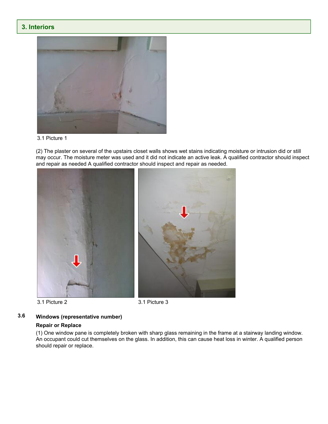### **3. Interiors**



3.1 Picture 1

(2) The plaster on several of the upstairs closet walls shows wet stains indicating moisture or intrusion did or still may occur. The moisture meter was used and it did not indicate an active leak. A qualified contractor should inspect and repair as needed A qualified contractor should inspect and repair as needed.







### **3.6 Windows (representative number)**

#### **Repair or Replace**

(1) One window pane is completely broken with sharp glass remaining in the frame at a stairway landing window. An occupant could cut themselves on the glass. In addition, this can cause heat loss in winter. A qualified person should repair or replace.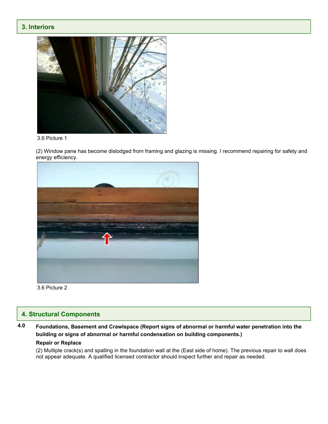### **3. Interiors**



3.6 Picture 1

(2) Window pane has become dislodged from framing and glazing is missing. I recommend repairing for safety and energy efficiency.



3.6 Picture 2

### **4. Structural Components**

### **4.0 Foundations, Basement and Crawlspace (Report signs of abnormal or harmful water penetration into the building or signs of abnormal or harmful condensation on building components.)**

#### **Repair or Replace**

(2) Multiple crack(s) and spalling in the foundation wall at the (East side of home). The previous repair to wall does not appear adequate. A qualified licensed contractor should inspect further and repair as needed.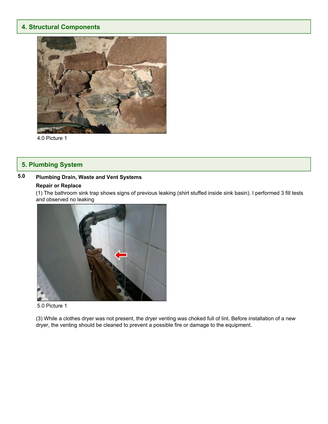### **4. Structural Components**



4.0 Picture 1

### **5. Plumbing System**

### **5.0 Plumbing Drain, Waste and Vent Systems**

#### **Repair or Replace**

(1) The bathroom sink trap shows signs of previous leaking (shirt stuffed inside sink basin). I performed 3 fill tests and observed no leaking



#### 5.0 Picture 1

(3) While a clothes dryer was not present, the dryer venting was choked full of lint. Before installation of a new dryer, the venting should be cleaned to prevent a possible fire or damage to the equipment.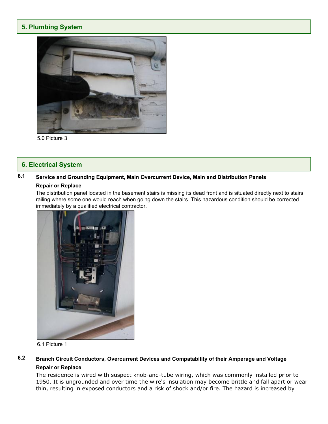### **5. Plumbing System**



5.0 Picture 3

### **6. Electrical System**

### **6.1 Service and Grounding Equipment, Main Overcurrent Device, Main and Distribution Panels**

### **Repair or Replace**

The distribution panel located in the basement stairs is missing its dead front and is situated directly next to stairs railing where some one would reach when going down the stairs. This hazardous condition should be corrected immediately by a qualified electrical contractor.



6.1 Picture 1

### **6.2 Branch Circuit Conductors, Overcurrent Devices and Compatability of their Amperage and Voltage Repair or Replace**

The residence is wired with suspect knob-and-tube wiring, which was commonly installed prior to 1950. It is ungrounded and over time the wire's insulation may become brittle and fall apart or wear thin, resulting in exposed conductors and a risk of shock and/or fire. The hazard is increased by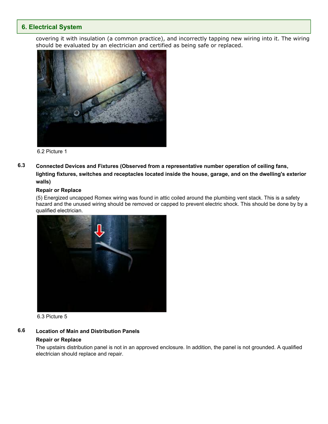### **6. Electrical System**

covering it with insulation (a common practice), and incorrectly tapping new wiring into it. The wiring should be evaluated by an electrician and certified as being safe or replaced.



6.2 Picture 1

**6.3 Connected Devices and Fixtures (Observed from a representative number operation of ceiling fans, lighting fixtures, switches and receptacles located inside the house, garage, and on the dwelling's exterior walls)**

#### **Repair or Replace**

(5) Energized uncapped Romex wiring was found in attic coiled around the plumbing vent stack. This is a safety hazard and the unused wiring should be removed or capped to prevent electric shock. This should be done by by a qualified electrician.



6.3 Picture 5

### **6.6 Location of Main and Distribution Panels**

### **Repair or Replace**

The upstairs distribution panel is not in an approved enclosure. In addition, the panel is not grounded. A qualified electrician should replace and repair.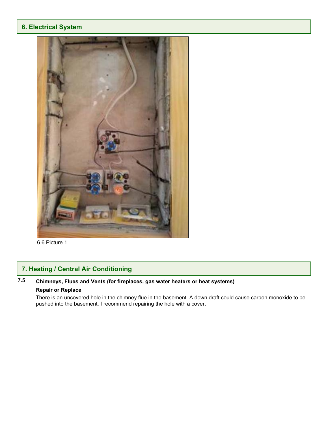### **6. Electrical System**



6.6 Picture 1

### **7. Heating / Central Air Conditioning**

### **7.5 Chimneys, Flues and Vents (for fireplaces, gas water heaters or heat systems)**

#### **Repair or Replace**

There is an uncovered hole in the chimney flue in the basement. A down draft could cause carbon monoxide to be pushed into the basement. I recommend repairing the hole with a cover.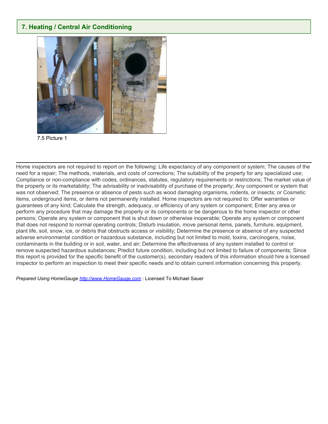### **7. Heating / Central Air Conditioning**



7.5 Picture 1

Home inspectors are not required to report on the following: Life expectancy of any component or system; The causes of the need for a repair; The methods, materials, and costs of corrections; The suitability of the property for any specialized use; Compliance or non-compliance with codes, ordinances, statutes, regulatory requirements or restrictions; The market value of the property or its marketability; The advisability or inadvisability of purchase of the property; Any component or system that was not observed; The presence or absence of pests such as wood damaging organisms, rodents, or insects; or Cosmetic items, underground items, or items not permanently installed. Home inspectors are not required to: Offer warranties or guarantees of any kind; Calculate the strength, adequacy, or efficiency of any system or component; Enter any area or perform any procedure that may damage the property or its components or be dangerous to the home inspector or other persons; Operate any system or component that is shut down or otherwise inoperable; Operate any system or component that does not respond to normal operating controls; Disturb insulation, move personal items, panels, furniture, equipment, plant life, soil, snow, ice, or debris that obstructs access or visibility; Determine the presence or absence of any suspected adverse environmental condition or hazardous substance, including but not limited to mold, toxins, carcinogens, noise, contaminants in the building or in soil, water, and air; Determine the effectiveness of any system installed to control or remove suspected hazardous substances; Predict future condition, including but not limited to failure of components; Since this report is provided for the specific benefit of the customer(s), secondary readers of this information should hire a licensed inspector to perform an inspection to meet their specific needs and to obtain current information concerning this property.

*Prepared Using HomeGauge <http://www.HomeGauge.com>* : Licensed To Michael Sauer